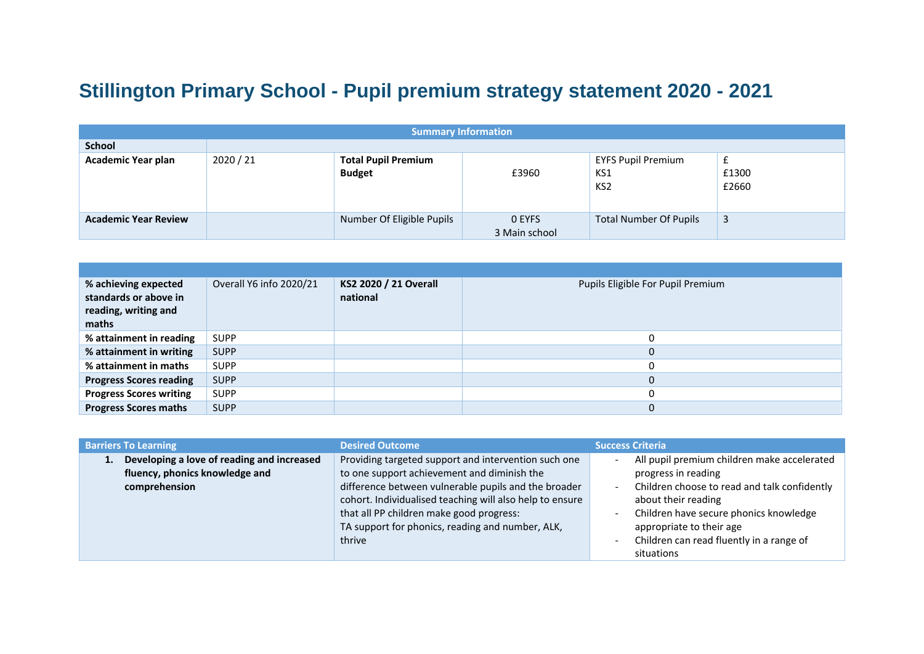## **Stillington Primary School - Pupil premium strategy statement 2020 - 2021**

| <b>Summary Information</b>  |           |                                             |                                |                                                     |                      |  |  |  |
|-----------------------------|-----------|---------------------------------------------|--------------------------------|-----------------------------------------------------|----------------------|--|--|--|
| <b>School</b>               |           |                                             |                                |                                                     |                      |  |  |  |
| <b>Academic Year plan</b>   | 2020 / 21 | <b>Total Pupil Premium</b><br><b>Budget</b> | £3960                          | <b>EYFS Pupil Premium</b><br>KS1<br>KS <sub>2</sub> | L.<br>£1300<br>£2660 |  |  |  |
| <b>Academic Year Review</b> |           | Number Of Eligible Pupils                   | <b>O EYFS</b><br>3 Main school | <b>Total Number Of Pupils</b>                       | 3                    |  |  |  |

| % achieving expected<br>standards or above in<br>reading, writing and<br>maths | Overall Y6 info 2020/21 | KS2 2020 / 21 Overall<br>national | Pupils Eligible For Pupil Premium |
|--------------------------------------------------------------------------------|-------------------------|-----------------------------------|-----------------------------------|
| % attainment in reading                                                        | <b>SUPP</b>             |                                   |                                   |
| % attainment in writing                                                        | <b>SUPP</b>             |                                   | 0                                 |
| % attainment in maths                                                          | <b>SUPP</b>             |                                   | 0                                 |
| <b>Progress Scores reading</b>                                                 | <b>SUPP</b>             |                                   | 0                                 |
| <b>Progress Scores writing</b>                                                 | <b>SUPP</b>             |                                   |                                   |
| <b>Progress Scores maths</b>                                                   | <b>SUPP</b>             |                                   | 0                                 |

| <b>Barriers To Learning</b> |                                                                       | <b>Desired Outcome</b>                                   | <b>Success Criteria</b>                                                  |  |  |
|-----------------------------|-----------------------------------------------------------------------|----------------------------------------------------------|--------------------------------------------------------------------------|--|--|
| 1.7                         | Developing a love of reading and increased                            | Providing targeted support and intervention such one     | All pupil premium children make accelerated                              |  |  |
|                             | fluency, phonics knowledge and                                        | to one support achievement and diminish the              | progress in reading                                                      |  |  |
|                             | difference between vulnerable pupils and the broader<br>comprehension |                                                          | Children choose to read and talk confidently<br>$\overline{\phantom{a}}$ |  |  |
|                             |                                                                       | cohort. Individualised teaching will also help to ensure | about their reading                                                      |  |  |
|                             |                                                                       | that all PP children make good progress:                 | Children have secure phonics knowledge                                   |  |  |
|                             |                                                                       | TA support for phonics, reading and number, ALK,         | appropriate to their age                                                 |  |  |
|                             |                                                                       | thrive                                                   | Children can read fluently in a range of                                 |  |  |
|                             |                                                                       |                                                          | situations                                                               |  |  |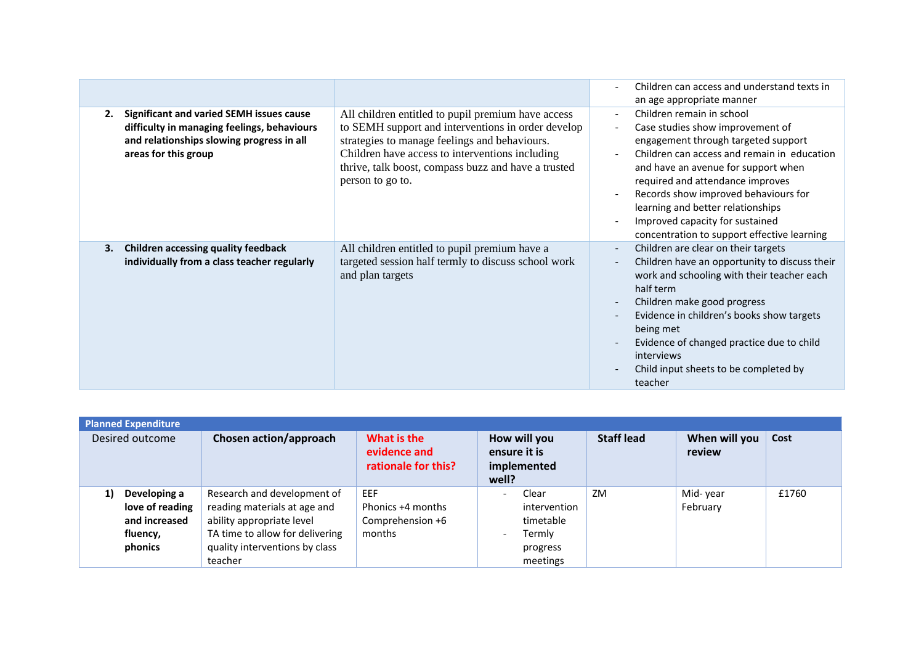|    |                                                                                                                                                                     |                                                                                                                                                                                                                                                                                         | Children can access and understand texts in<br>$\overline{\phantom{a}}$<br>an age appropriate manner                                                                                                                                                                                                                                                                                                                                                                                                |
|----|---------------------------------------------------------------------------------------------------------------------------------------------------------------------|-----------------------------------------------------------------------------------------------------------------------------------------------------------------------------------------------------------------------------------------------------------------------------------------|-----------------------------------------------------------------------------------------------------------------------------------------------------------------------------------------------------------------------------------------------------------------------------------------------------------------------------------------------------------------------------------------------------------------------------------------------------------------------------------------------------|
| 2. | <b>Significant and varied SEMH issues cause</b><br>difficulty in managing feelings, behaviours<br>and relationships slowing progress in all<br>areas for this group | All children entitled to pupil premium have access<br>to SEMH support and interventions in order develop<br>strategies to manage feelings and behaviours.<br>Children have access to interventions including<br>thrive, talk boost, compass buzz and have a trusted<br>person to go to. | Children remain in school<br>$\overline{\phantom{a}}$<br>Case studies show improvement of<br>$\overline{a}$<br>engagement through targeted support<br>Children can access and remain in education<br>$\overline{\phantom{a}}$<br>and have an avenue for support when<br>required and attendance improves<br>Records show improved behaviours for<br>$\overline{\phantom{a}}$<br>learning and better relationships<br>Improved capacity for sustained<br>concentration to support effective learning |
| 3. | <b>Children accessing quality feedback</b><br>individually from a class teacher regularly                                                                           | All children entitled to pupil premium have a<br>targeted session half termly to discuss school work<br>and plan targets                                                                                                                                                                | Children are clear on their targets<br>$\overline{\phantom{a}}$<br>Children have an opportunity to discuss their<br>$\overline{\phantom{a}}$<br>work and schooling with their teacher each<br>half term<br>Children make good progress<br>Evidence in children's books show targets<br>being met<br>Evidence of changed practice due to child<br>interviews<br>Child input sheets to be completed by<br>teacher                                                                                     |

| <b>Planned Expenditure</b>                                                    |                                                                                                                                                                          |                                                        |                                                                                                                              |                   |                         |       |  |  |  |
|-------------------------------------------------------------------------------|--------------------------------------------------------------------------------------------------------------------------------------------------------------------------|--------------------------------------------------------|------------------------------------------------------------------------------------------------------------------------------|-------------------|-------------------------|-------|--|--|--|
| Desired outcome                                                               | Chosen action/approach                                                                                                                                                   | What is the<br>evidence and<br>rationale for this?     | How will you<br>ensure it is<br>implemented<br>well?                                                                         | <b>Staff lead</b> | When will you<br>review | Cost  |  |  |  |
| Developing a<br>1)<br>love of reading<br>and increased<br>fluency,<br>phonics | Research and development of<br>reading materials at age and<br>ability appropriate level<br>TA time to allow for delivering<br>quality interventions by class<br>teacher | EEF<br>Phonics +4 months<br>Comprehension +6<br>months | Clear<br>$\overline{\phantom{a}}$<br>intervention<br>timetable<br>Termly<br>$\overline{\phantom{a}}$<br>progress<br>meetings | ZM                | Mid-year<br>February    | £1760 |  |  |  |